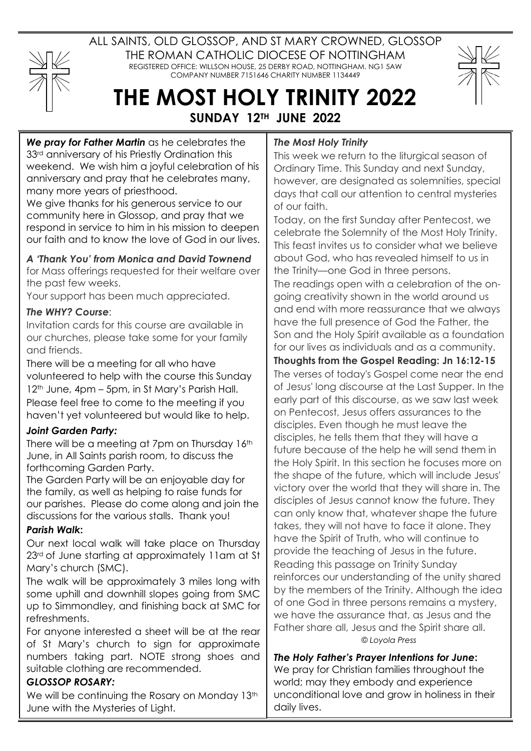

ALL SAINTS, OLD GLOSSOP, AND ST MARY CROWNED, GLOSSOP THE ROMAN CATHOLIC DIOCESE OF NOTTINGHAM REGISTERED OFFICE: WILLSON HOUSE, 25 DERBY ROAD, NOTTINGHAM. NG1 5AW COMPANY NUMBER 7151646 CHARITY NUMBER 1134449



# **THE MOST HOLY TRINITY 2022 SUNDAY 12TH JUNE 2022**

*We pray for Father Martin* as he celebrates the 33<sup>rd</sup> anniversary of his Priestly Ordination this weekend. We wish him a joyful celebration of his anniversary and pray that he celebrates many, many more years of priesthood.

We give thanks for his generous service to our community here in Glossop, and pray that we respond in service to him in his mission to deepen our faith and to know the love of God in our lives.

## *A 'Thank You' from Monica and David Townend*

for Mass offerings requested for their welfare over the past few weeks.

Your support has been much appreciated.

#### *The WHY? Course*:

Invitation cards for this course are available in our churches, please take some for your family and friends.

There will be a meeting for all who have volunteered to help with the course this Sunday 12<sup>th</sup> June, 4pm – 5pm, in St Mary's Parish Hall. Please feel free to come to the meeting if you haven't yet volunteered but would like to help.

#### *Joint Garden Party:*

There will be a meeting at 7pm on Thursday 16th June, in All Saints parish room, to discuss the forthcoming Garden Party.

The Garden Party will be an enjoyable day for the family, as well as helping to raise funds for our parishes. Please do come along and join the discussions for the various stalls. Thank you!

#### *Parish Walk***:**

Our next local walk will take place on Thursday 23rd of June starting at approximately 11am at St Mary's church (SMC).

The walk will be approximately 3 miles long with some uphill and downhill slopes going from SMC up to Simmondley, and finishing back at SMC for refreshments.

For anyone interested a sheet will be at the rear of St Mary's church to sign for approximate numbers taking part. NOTE strong shoes and suitable clothing are recommended.

#### *GLOSSOP ROSARY:*

We will be continuing the Rosary on Monday 13th June with the Mysteries of Light.

### *The Most Holy Trinity*

This week we return to the liturgical season of Ordinary Time. This Sunday and next Sunday, however, are designated as solemnities, special days that call our attention to central mysteries of our faith.

Today, on the first Sunday after Pentecost, we celebrate the Solemnity of the Most Holy Trinity. This feast invites us to consider what we believe about God, who has revealed himself to us in the Trinity—one God in three persons.

The readings open with a celebration of the ongoing creativity shown in the world around us and end with more reassurance that we always have the full presence of God the Father, the Son and the Holy Spirit available as a foundation for our lives as individuals and as a community.

**Thoughts from the Gospel Reading: Jn 16:12-15** The verses of today's Gospel come near the end of Jesus' long discourse at the Last Supper. In the early part of this discourse, as we saw last week on Pentecost, Jesus offers assurances to the disciples. Even though he must leave the disciples, he tells them that they will have a future because of the help he will send them in the Holy Spirit. In this section he focuses more on the shape of the future, which will include Jesus' victory over the world that they will share in. The disciples of Jesus cannot know the future. They can only know that, whatever shape the future takes, they will not have to face it alone. They have the Spirit of Truth, who will continue to provide the teaching of Jesus in the future. Reading this passage on Trinity Sunday reinforces our understanding of the unity shared by the members of the Trinity. Although the idea of one God in three persons remains a mystery, we have the assurance that, as Jesus and the Father share all, Jesus and the Spirit share all. © *Loyola Press*

*The Holy Father's Prayer Intentions for June***:** We pray for Christian families throughout the world; may they embody and experience unconditional love and grow in holiness in their daily lives.